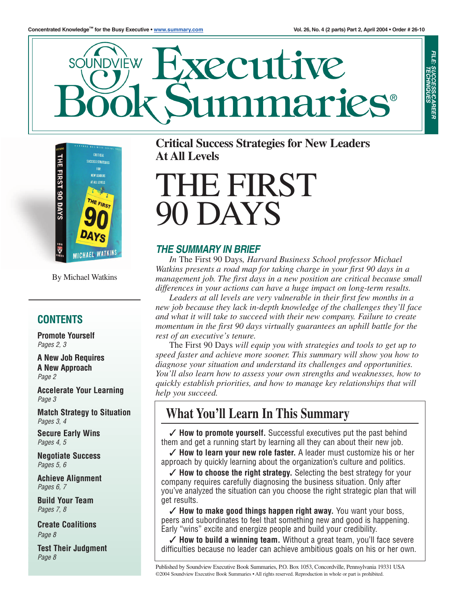

**YECULTIVE** SOUNDVIÈW naries®



By Michael Watkins

### **CONTENTS**

**Promote Yourself** *Pages 2, 3*

**A New Job Requires A New Approach** *Page 2*

**Accelerate Your Learning** *Page 3*

**Match Strategy to Situation** *Pages 3, 4*

**Secure Early Wins** *Pages 4, 5*

**Negotiate Success** *Pages 5, 6*

**Achieve Alignment** *Pages 6, 7*

**Build Your Team** *Pages 7, 8*

**Create Coalitions** *Page 8*

**Test Their Judgment** *Page 8*

**Critical Success Strategies for New Leaders At All Levels**

# **HE FIRST DAYS**

### *THE SUMMARY IN BRIEF*

*In* The First 90 Days*, Harvard Business School professor Michael Watkins presents a road map for taking charge in your first 90 days in a management job. The first days in a new position are critical because small differences in your actions can have a huge impact on long-term results.*

*Leaders at all levels are very vulnerable in their first few months in a new job because they lack in-depth knowledge of the challenges they'll face and what it will take to succeed with their new company. Failure to create momentum in the first 90 days virtually guarantees an uphill battle for the rest of an executive's tenure.*

The First 90 Days *will equip you with strategies and tools to get up to speed faster and achieve more sooner. This summary will show you how to diagnose your situation and understand its challenges and opportunities. You'll also learn how to assess your own strengths and weaknesses, how to quickly establish priorities, and how to manage key relationships that will help you succeed.*

# **What You'll Learn In This Summary**

✓ **How to promote yourself.** Successful executives put the past behind them and get a running start by learning all they can about their new job.

✓ **How to learn your new role faster.** A leader must customize his or her approach by quickly learning about the organization's culture and politics.

✓ **How to choose the right strategy.** Selecting the best strategy for your company requires carefully diagnosing the business situation. Only after you've analyzed the situation can you choose the right strategic plan that will get results.

✓ **How to make good things happen right away.** You want your boss, peers and subordinates to feel that something new and good is happening. Early "wins" excite and energize people and build your credibility.

✓ **How to build a winning team.** Without a great team, you'll face severe difficulties because no leader can achieve ambitious goals on his or her own.

Published by Soundview Executive Book Summaries, P.O. Box 1053, Concordville, Pennsylvania 19331 USA ©2004 Soundview Executive Book Summaries • All rights reserved. Reproduction in whole or part is prohibited.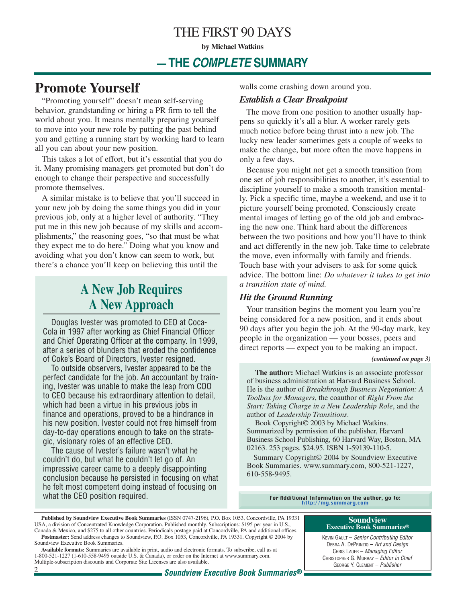### THE FIRST 90 DAYS

**by Michael Watkins**

### **— THE** *COMPLETE* **SUMMARY**

### **Promote Yourself**

"Promoting yourself" doesn't mean self-serving behavior, grandstanding or hiring a PR firm to tell the world about you. It means mentally preparing yourself to move into your new role by putting the past behind you and getting a running start by working hard to learn all you can about your new position.

This takes a lot of effort, but it's essential that you do it. Many promising managers get promoted but don't do enough to change their perspective and successfully promote themselves.

A similar mistake is to believe that you'll succeed in your new job by doing the same things you did in your previous job, only at a higher level of authority. "They put me in this new job because of my skills and accomplishments," the reasoning goes, "so that must be what they expect me to do here." Doing what you know and avoiding what you don't know can seem to work, but there's a chance you'll keep on believing this until the

# **A New Job Requires A New Approach**

Douglas Ivester was promoted to CEO at Coca-Cola in 1997 after working as Chief Financial Officer and Chief Operating Officer at the company. In 1999, after a series of blunders that eroded the confidence of Coke's Board of Directors, Ivester resigned.

To outside observers, Ivester appeared to be the perfect candidate for the job. An accountant by training, Ivester was unable to make the leap from COO to CEO because his extraordinary attention to detail, which had been a virtue in his previous jobs in finance and operations, proved to be a hindrance in his new position. Ivester could not free himself from day-to-day operations enough to take on the strategic, visionary roles of an effective CEO.

The cause of Ivester's failure wasn't what he couldn't do, but what he couldn't let go of. An impressive career came to a deeply disappointing conclusion because he persisted in focusing on what he felt most competent doing instead of focusing on what the CEO position required.

walls come crashing down around you.

#### *Establish a Clear Breakpoint*

The move from one position to another usually happens so quickly it's all a blur. A worker rarely gets much notice before being thrust into a new job. The lucky new leader sometimes gets a couple of weeks to make the change, but more often the move happens in only a few days.

Because you might not get a smooth transition from one set of job responsibilities to another, it's essential to discipline yourself to make a smooth transition mentally. Pick a specific time, maybe a weekend, and use it to picture yourself being promoted. Consciously create mental images of letting go of the old job and embracing the new one. Think hard about the differences between the two positions and how you'll have to think and act differently in the new job. Take time to celebrate the move, even informally with family and friends. Touch base with your advisers to ask for some quick advice. The bottom line: *Do whatever it takes to get into a transition state of mind.*

#### *Hit the Ground Running*

Your transition begins the moment you learn you're being considered for a new position, and it ends about 90 days after you begin the job. At the 90-day mark, key people in the organization — your bosses, peers and direct reports — expect you to be making an impact.

#### *(continued on page 3)*

**The author:** Michael Watkins is an associate professor of business administration at Harvard Business School. He is the author of *Breakthrough Business Negotiation: A Toolbox for Managers*, the coauthor of *Right From the Start: Taking Charge in a New Leadership Role*, and the author of *Leadership Transitions*.

Book Copyright© 2003 by Michael Watkins. Summarized by permission of the publisher, Harvard Business School Publishing, 60 Harvard Way, Boston, MA 02163. 253 pages. \$24.95. ISBN 1-59139-110-5.

Summary Copyright© 2004 by Soundview Executive Book Summaries. www.summary.com, 800-521-1227, 610-558-9495.

For Additional Information on the author, go to:<br>[http://my.summary.com](http://www.summary.com/cgi-bin/Soundview.storefront/EN/Catalog/1488?authorid=191)

**Soundview Executive Book Summaries®** KEVIN GAULT – *Senior Contributing Editor* DEBRA A. DEPRINZIO – *Art and Design* CHRIS LAUER – *Managing Editor* CHRISTOPHER G. MURRAY – *Editor in Chief*

1-800-521-1227 (1-610-558-9495 outside U.S. & Canada), or order on the Internet at www.summary.com. Multiple-subscription discounts and Corporate Site Licenses are also available.

**Published by Soundview Executive Book Summaries** (ISSN 0747-2196), P.O. Box 1053, Concordville, PA 19331 USA, a division of Concentrated Knowledge Corporation. Published monthly. Subscriptions: \$195 per year in U.S., Canada & Mexico, and \$275 to all other countries. Periodicals postage paid at Concordville, PA and additional offices. **Postmaster:** Send address changes to Soundview, P.O. Box 1053, Concordville, PA 19331. Copyright © 2004 by

Soundview Executive Book Summaries. **Available formats:** Summaries are available in print, audio and electronic formats. To subscribe, call us at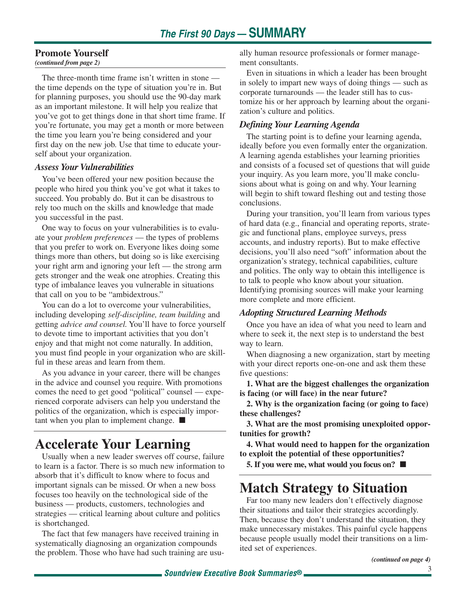#### **Promote Yourself**

*(continued from page 2)*

The three-month time frame isn't written in stone the time depends on the type of situation you're in. But for planning purposes, you should use the 90-day mark as an important milestone. It will help you realize that you've got to get things done in that short time frame. If you're fortunate, you may get a month or more between the time you learn you're being considered and your first day on the new job. Use that time to educate yourself about your organization.

#### *Assess Your Vulnerabilities*

You've been offered your new position because the people who hired you think you've got what it takes to succeed. You probably do. But it can be disastrous to rely too much on the skills and knowledge that made you successful in the past.

One way to focus on your vulnerabilities is to evaluate your *problem preferences* — the types of problems that you prefer to work on. Everyone likes doing some things more than others, but doing so is like exercising your right arm and ignoring your left — the strong arm gets stronger and the weak one atrophies. Creating this type of imbalance leaves you vulnerable in situations that call on you to be "ambidextrous."

You can do a lot to overcome your vulnerabilities, including developing *self-discipline, team building* and getting *advice and counsel.* You'll have to force yourself to devote time to important activities that you don't enjoy and that might not come naturally. In addition, you must find people in your organization who are skillful in these areas and learn from them.

As you advance in your career, there will be changes in the advice and counsel you require. With promotions comes the need to get good "political" counsel — experienced corporate advisers can help you understand the politics of the organization, which is especially important when you plan to implement change. ■

# **Accelerate Your Learning**

Usually when a new leader swerves off course, failure to learn is a factor. There is so much new information to absorb that it's difficult to know where to focus and important signals can be missed. Or when a new boss focuses too heavily on the technological side of the business — products, customers, technologies and strategies — critical learning about culture and politics is shortchanged.

The fact that few managers have received training in systematically diagnosing an organization compounds the problem. Those who have had such training are usually human resource professionals or former management consultants.

Even in situations in which a leader has been brought in solely to impart new ways of doing things — such as corporate turnarounds — the leader still has to customize his or her approach by learning about the organization's culture and politics.

#### *Defining Your Learning Agenda*

The starting point is to define your learning agenda, ideally before you even formally enter the organization. A learning agenda establishes your learning priorities and consists of a focused set of questions that will guide your inquiry. As you learn more, you'll make conclusions about what is going on and why. Your learning will begin to shift toward fleshing out and testing those conclusions.

During your transition, you'll learn from various types of hard data (e.g., financial and operating reports, strategic and functional plans, employee surveys, press accounts, and industry reports). But to make effective decisions, you'll also need "soft" information about the organization's strategy, technical capabilities, culture and politics. The only way to obtain this intelligence is to talk to people who know about your situation. Identifying promising sources will make your learning more complete and more efficient.

#### *Adopting Structured Learning Methods*

Once you have an idea of what you need to learn and where to seek it, the next step is to understand the best way to learn.

When diagnosing a new organization, start by meeting with your direct reports one-on-one and ask them these five questions:

**1. What are the biggest challenges the organization is facing (or will face) in the near future?**

**2. Why is the organization facing (or going to face) these challenges?**

**3. What are the most promising unexploited opportunities for growth?**

**4. What would need to happen for the organization to exploit the potential of these opportunities?**

**5. If you were me, what would you focus on?** ■

# **Match Strategy to Situation**

Far too many new leaders don't effectively diagnose their situations and tailor their strategies accordingly. Then, because they don't understand the situation, they make unnecessary mistakes. This painful cycle happens because people usually model their transitions on a limited set of experiences.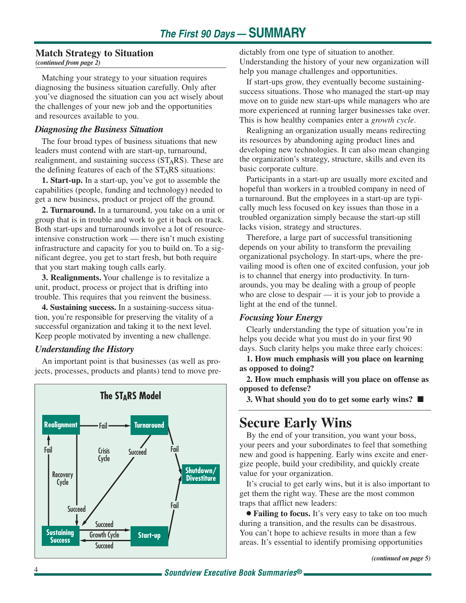#### **Match Strategy to Situation**

*(continued from page 2)*

Matching your strategy to your situation requires diagnosing the business situation carefully. Only after you've diagnosed the situation can you act wisely about the challenges of your new job and the opportunities and resources available to you.

#### *Diagnosing the Business Situation*

The four broad types of business situations that new leaders must contend with are start-up, turnaround, realignment, and sustaining success  $(ST<sub>A</sub>RS)$ . These are the defining features of each of the  $ST<sub>A</sub>RS$  situations:

**1. Start-up.** In a start-up, you've got to assemble the capabilities (people, funding and technology) needed to get a new business, product or project off the ground.

**2. Turnaround.** In a turnaround, you take on a unit or group that is in trouble and work to get it back on track. Both start-ups and turnarounds involve a lot of resourceintensive construction work — there isn't much existing infrastructure and capacity for you to build on. To a significant degree, you get to start fresh, but both require that you start making tough calls early.

**3. Realignments.** Your challenge is to revitalize a unit, product, process or project that is drifting into trouble. This requires that you reinvent the business.

**4. Sustaining success.** In a sustaining-success situation, you're responsible for preserving the vitality of a successful organization and taking it to the next level. Keep people motivated by inventing a new challenge.

#### *Understanding the History*

An important point is that businesses (as well as projects, processes, products and plants) tend to move pre-



dictably from one type of situation to another. Understanding the history of your new organization will help you manage challenges and opportunities.

If start-ups grow, they eventually become sustainingsuccess situations. Those who managed the start-up may move on to guide new start-ups while managers who are more experienced at running larger businesses take over. This is how healthy companies enter a *growth cycle*.

Realigning an organization usually means redirecting its resources by abandoning aging product lines and developing new technologies. It can also mean changing the organization's strategy, structure, skills and even its basic corporate culture.

Participants in a start-up are usually more excited and hopeful than workers in a troubled company in need of a turnaround. But the employees in a start-up are typically much less focused on key issues than those in a troubled organization simply because the start-up still lacks vision, strategy and structures.

Therefore, a large part of successful transitioning depends on your ability to transform the prevailing organizational psychology. In start-ups, where the prevailing mood is often one of excited confusion, your job is to channel that energy into productivity. In turnarounds, you may be dealing with a group of people who are close to despair — it is your job to provide a light at the end of the tunnel.

#### *Focusing Your Energy*

Clearly understanding the type of situation you're in helps you decide what you must do in your first 90 days. Such clarity helps you make three early choices:

**1. How much emphasis will you place on learning as opposed to doing?**

**2. How much emphasis will you place on offense as opposed to defense?**

**3. What should you do to get some early wins?** ■

# **Secure Early Wins**

By the end of your transition, you want your boss, your peers and your subordinates to feel that something new and good is happening. Early wins excite and energize people, build your credibility, and quickly create value for your organization.

It's crucial to get early wins, but it is also important to get them the right way. These are the most common traps that afflict new leaders:

● **Failing to focus.** It's very easy to take on too much during a transition, and the results can be disastrous. You can't hope to achieve results in more than a few areas. It's essential to identify promising opportunities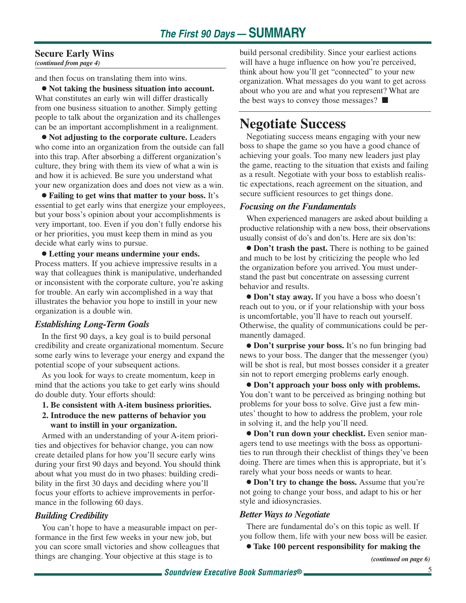### **Secure Early Wins**

*(continued from page 4)*

and then focus on translating them into wins.

● **Not taking the business situation into account.** What constitutes an early win will differ drastically from one business situation to another. Simply getting people to talk about the organization and its challenges can be an important accomplishment in a realignment.

● **Not adjusting to the corporate culture.** Leaders who come into an organization from the outside can fall into this trap. After absorbing a different organization's culture, they bring with them its view of what a win is and how it is achieved. Be sure you understand what your new organization does and does not view as a win.

● **Failing to get wins that matter to your boss.** It's essential to get early wins that energize your employees, but your boss's opinion about your accomplishments is very important, too. Even if you don't fully endorse his or her priorities, you must keep them in mind as you decide what early wins to pursue.

● **Letting your means undermine your ends.** Process matters. If you achieve impressive results in a way that colleagues think is manipulative, underhanded or inconsistent with the corporate culture, you're asking for trouble. An early win accomplished in a way that illustrates the behavior you hope to instill in your new organization is a double win.

#### *Establishing Long-Term Goals*

In the first 90 days, a key goal is to build personal credibility and create organizational momentum. Secure some early wins to leverage your energy and expand the potential scope of your subsequent actions.

As you look for ways to create momentum, keep in mind that the actions you take to get early wins should do double duty. Your efforts should:

- **1. Be consistent with A-item business priorities.**
- **2. Introduce the new patterns of behavior you want to instill in your organization.**

Armed with an understanding of your A-item priorities and objectives for behavior change, you can now create detailed plans for how you'll secure early wins during your first 90 days and beyond. You should think about what you must do in two phases: building credibility in the first 30 days and deciding where you'll focus your efforts to achieve improvements in performance in the following 60 days.

#### *Building Credibility*

You can't hope to have a measurable impact on performance in the first few weeks in your new job, but you can score small victories and show colleagues that things are changing. Your objective at this stage is to

build personal credibility. Since your earliest actions will have a huge influence on how you're perceived, think about how you'll get "connected" to your new organization. What messages do you want to get across about who you are and what you represent? What are the best ways to convey those messages? ■

### **Negotiate Success**

Negotiating success means engaging with your new boss to shape the game so you have a good chance of achieving your goals. Too many new leaders just play the game, reacting to the situation that exists and failing as a result. Negotiate with your boss to establish realistic expectations, reach agreement on the situation, and secure sufficient resources to get things done.

#### *Focusing on the Fundamentals*

When experienced managers are asked about building a productive relationship with a new boss, their observations usually consist of do's and don'ts. Here are six don'ts:

● **Don't trash the past.** There is nothing to be gained and much to be lost by criticizing the people who led the organization before you arrived. You must understand the past but concentrate on assessing current behavior and results.

● **Don't stay away.** If you have a boss who doesn't reach out to you, or if your relationship with your boss is uncomfortable, you'll have to reach out yourself. Otherwise, the quality of communications could be permanently damaged.

● **Don't surprise your boss.** It's no fun bringing bad news to your boss. The danger that the messenger (you) will be shot is real, but most bosses consider it a greater sin not to report emerging problems early enough.

● **Don't approach your boss only with problems.** You don't want to be perceived as bringing nothing but problems for your boss to solve. Give just a few minutes' thought to how to address the problem, your role in solving it, and the help you'll need.

● **Don't run down your checklist.** Even senior managers tend to use meetings with the boss as opportunities to run through their checklist of things they've been doing. There are times when this is appropriate, but it's rarely what your boss needs or wants to hear.

● **Don't try to change the boss.** Assume that you're not going to change your boss, and adapt to his or her style and idiosyncrasies.

#### *Better Ways to Negotiate*

There are fundamental do's on this topic as well. If you follow them, life with your new boss will be easier.

● **Take 100 percent responsibility for making the**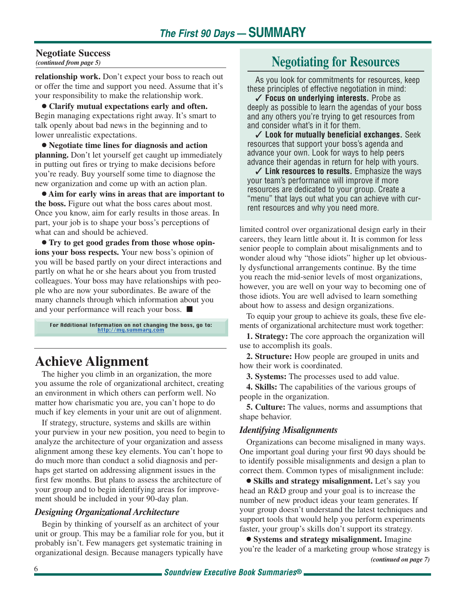### **Negotiate Success**

*(continued from page 5)*

**relationship work.** Don't expect your boss to reach out or offer the time and support you need. Assume that it's your responsibility to make the relationship work.

● **Clarify mutual expectations early and often.** Begin managing expectations right away. It's smart to talk openly about bad news in the beginning and to lower unrealistic expectations.

● **Negotiate time lines for diagnosis and action planning.** Don't let yourself get caught up immediately in putting out fires or trying to make decisions before you're ready. Buy yourself some time to diagnose the new organization and come up with an action plan.

● **Aim for early wins in areas that are important to the boss.** Figure out what the boss cares about most. Once you know, aim for early results in those areas. In part, your job is to shape your boss's perceptions of what can and should be achieved.

● **Try to get good grades from those whose opinions your boss respects.** Your new boss's opinion of you will be based partly on your direct interactions and partly on what he or she hears about you from trusted colleagues. Your boss may have relationships with people who are now your subordinates. Be aware of the many channels through which information about you and your performance will reach your boss. ■

For Additional Information on not changing the boss, go to: [http://my.summary.com](http://www.summary.com/cgi-bin/Soundview.storefront/EN/Catalog/1315?id=1254)

# **Achieve Alignment**

The higher you climb in an organization, the more you assume the role of organizational architect, creating an environment in which others can perform well. No matter how charismatic you are, you can't hope to do much if key elements in your unit are out of alignment.

If strategy, structure, systems and skills are within your purview in your new position, you need to begin to analyze the architecture of your organization and assess alignment among these key elements. You can't hope to do much more than conduct a solid diagnosis and perhaps get started on addressing alignment issues in the first few months. But plans to assess the architecture of your group and to begin identifying areas for improvement should be included in your 90-day plan.

#### *Designing Organizational Architecture*

Begin by thinking of yourself as an architect of your unit or group. This may be a familiar role for you, but it probably isn't. Few managers get systematic training in organizational design. Because managers typically have

### **Negotiating for Resources**

As you look for commitments for resources, keep these principles of effective negotiation in mind:

✓ **Focus on underlying interests.** Probe as deeply as possible to learn the agendas of your boss and any others you're trying to get resources from and consider what's in it for them.

✓ **Look for mutually beneficial exchanges.** Seek resources that support your boss's agenda and advance your own. Look for ways to help peers advance their agendas in return for help with yours.

✓ **Link resources to results.** Emphasize the ways your team's performance will improve if more resources are dedicated to your group. Create a "menu" that lays out what you can achieve with current resources and why you need more.

limited control over organizational design early in their careers, they learn little about it. It is common for less senior people to complain about misalignments and to wonder aloud why "those idiots" higher up let obviously dysfunctional arrangements continue. By the time you reach the mid-senior levels of most organizations, however, you are well on your way to becoming one of those idiots. You are well advised to learn something about how to assess and design organizations.

To equip your group to achieve its goals, these five elements of organizational architecture must work together:

**1. Strategy:** The core approach the organization will use to accomplish its goals.

**2. Structure:** How people are grouped in units and how their work is coordinated.

**3. Systems:** The processes used to add value.

**4. Skills:** The capabilities of the various groups of people in the organization.

**5. Culture:** The values, norms and assumptions that shape behavior.

#### *Identifying Misalignments*

Organizations can become misaligned in many ways. One important goal during your first 90 days should be to identify possible misalignments and design a plan to correct them. Common types of misalignment include:

● **Skills and strategy misalignment.** Let's say you head an R&D group and your goal is to increase the number of new product ideas your team generates. If your group doesn't understand the latest techniques and support tools that would help you perform experiments faster, your group's skills don't support its strategy.

● **Systems and strategy misalignment.** Imagine you're the leader of a marketing group whose strategy is *(continued on page 7)*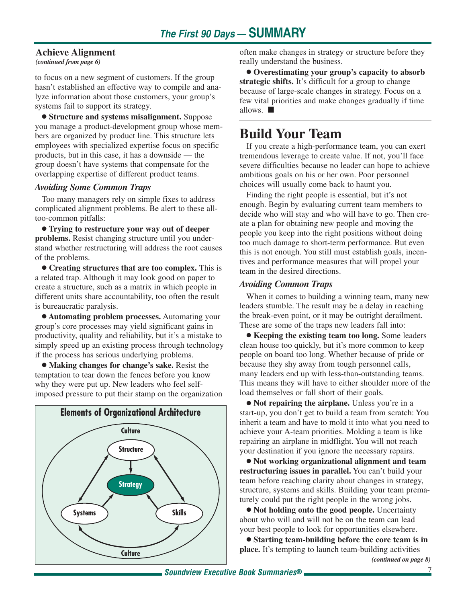#### **Achieve Alignment**

*(continued from page 6)*

to focus on a new segment of customers. If the group hasn't established an effective way to compile and analyze information about those customers, your group's systems fail to support its strategy.

● **Structure and systems misalignment.** Suppose you manage a product-development group whose members are organized by product line. This structure lets employees with specialized expertise focus on specific products, but in this case, it has a downside — the group doesn't have systems that compensate for the overlapping expertise of different product teams.

#### *Avoiding Some Common Traps*

Too many managers rely on simple fixes to address complicated alignment problems. Be alert to these alltoo-common pitfalls:

● **Trying to restructure your way out of deeper problems.** Resist changing structure until you understand whether restructuring will address the root causes of the problems.

● **Creating structures that are too complex.** This is a related trap. Although it may look good on paper to create a structure, such as a matrix in which people in different units share accountability, too often the result is bureaucratic paralysis.

● **Automating problem processes.** Automating your group's core processes may yield significant gains in productivity, quality and reliability, but it's a mistake to simply speed up an existing process through technology if the process has serious underlying problems.

● **Making changes for change's sake.** Resist the temptation to tear down the fences before you know why they were put up. New leaders who feel selfimposed pressure to put their stamp on the organization



often make changes in strategy or structure before they really understand the business.

● **Overestimating your group's capacity to absorb strategic shifts.** It's difficult for a group to change because of large-scale changes in strategy. Focus on a few vital priorities and make changes gradually if time allows. ■

### **Build Your Team**

If you create a high-performance team, you can exert tremendous leverage to create value. If not, you'll face severe difficulties because no leader can hope to achieve ambitious goals on his or her own. Poor personnel choices will usually come back to haunt you.

Finding the right people is essential, but it's not enough. Begin by evaluating current team members to decide who will stay and who will have to go. Then create a plan for obtaining new people and moving the people you keep into the right positions without doing too much damage to short-term performance. But even this is not enough. You still must establish goals, incentives and performance measures that will propel your team in the desired directions.

#### *Avoiding Common Traps*

When it comes to building a winning team, many new leaders stumble. The result may be a delay in reaching the break-even point, or it may be outright derailment. These are some of the traps new leaders fall into:

● **Keeping the existing team too long.** Some leaders clean house too quickly, but it's more common to keep people on board too long. Whether because of pride or because they shy away from tough personnel calls, many leaders end up with less-than-outstanding teams. This means they will have to either shoulder more of the load themselves or fall short of their goals.

● **Not repairing the airplane.** Unless you're in a start-up, you don't get to build a team from scratch: You inherit a team and have to mold it into what you need to achieve your A-team priorities. Molding a team is like repairing an airplane in midflight. You will not reach your destination if you ignore the necessary repairs.

● **Not working organizational alignment and team restructuring issues in parallel.** You can't build your team before reaching clarity about changes in strategy, structure, systems and skills. Building your team prematurely could put the right people in the wrong jobs.

● **Not holding onto the good people.** Uncertainty about who will and will not be on the team can lead your best people to look for opportunities elsewhere.

● **Starting team-building before the core team is in place.** It's tempting to launch team-building activities *(continued on page 8)*